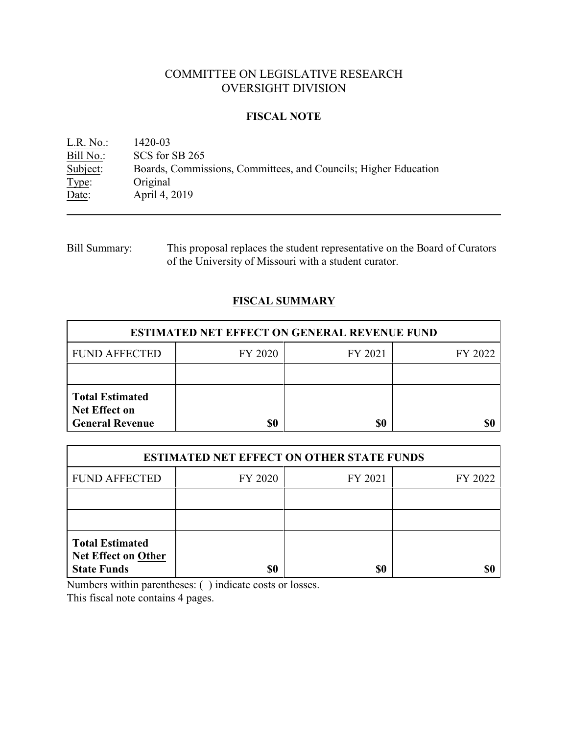# COMMITTEE ON LEGISLATIVE RESEARCH OVERSIGHT DIVISION

### **FISCAL NOTE**

<u>L.R. No.:</u> 1420-03<br>Bill No.: SCS for Bill No.: SCS for SB 265<br>Subject: Boards, Commis Boards, Commissions, Committees, and Councils; Higher Education Type: Original Date: April 4, 2019

Bill Summary: This proposal replaces the student representative on the Board of Curators of the University of Missouri with a student curator.

## **FISCAL SUMMARY**

| <b>ESTIMATED NET EFFECT ON GENERAL REVENUE FUND</b>                      |         |         |         |  |
|--------------------------------------------------------------------------|---------|---------|---------|--|
| <b>FUND AFFECTED</b>                                                     | FY 2020 | FY 2021 | FY 2022 |  |
|                                                                          |         |         |         |  |
| <b>Total Estimated</b><br><b>Net Effect on</b><br><b>General Revenue</b> | \$0     | \$0     |         |  |

| <b>ESTIMATED NET EFFECT ON OTHER STATE FUNDS</b>                           |         |         |         |  |
|----------------------------------------------------------------------------|---------|---------|---------|--|
| <b>FUND AFFECTED</b>                                                       | FY 2020 | FY 2021 | FY 2022 |  |
|                                                                            |         |         |         |  |
|                                                                            |         |         |         |  |
| <b>Total Estimated</b><br><b>Net Effect on Other</b><br><b>State Funds</b> | \$0     | \$0     |         |  |

Numbers within parentheses: ( ) indicate costs or losses.

This fiscal note contains 4 pages.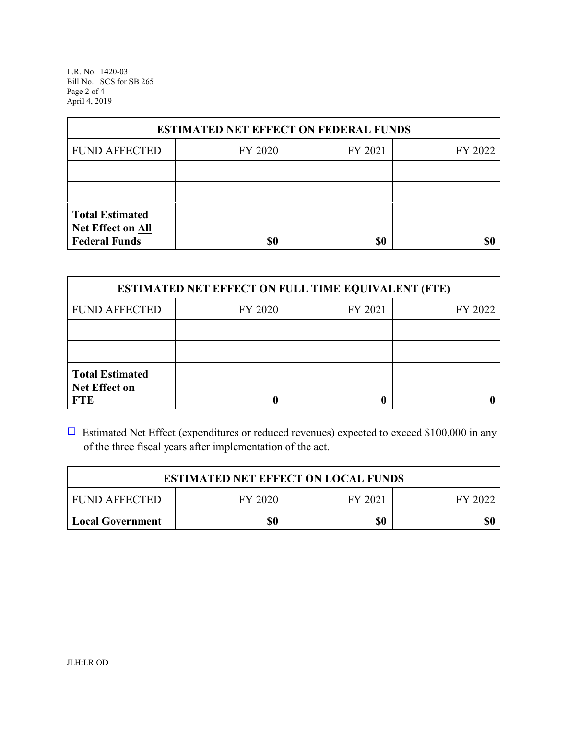L.R. No. 1420-03 Bill No. SCS for SB 265 Page 2 of 4 April 4, 2019

| <b>ESTIMATED NET EFFECT ON FEDERAL FUNDS</b>                        |         |         |         |  |
|---------------------------------------------------------------------|---------|---------|---------|--|
| <b>FUND AFFECTED</b>                                                | FY 2020 | FY 2021 | FY 2022 |  |
|                                                                     |         |         |         |  |
|                                                                     |         |         |         |  |
| <b>Total Estimated</b><br>Net Effect on All<br><b>Federal Funds</b> | \$0     | \$0     |         |  |

| <b>ESTIMATED NET EFFECT ON FULL TIME EQUIVALENT (FTE)</b>    |         |         |         |  |
|--------------------------------------------------------------|---------|---------|---------|--|
| <b>FUND AFFECTED</b>                                         | FY 2020 | FY 2021 | FY 2022 |  |
|                                                              |         |         |         |  |
|                                                              |         |         |         |  |
| <b>Total Estimated</b><br><b>Net Effect on</b><br><b>FTE</b> |         |         |         |  |

 $\Box$  Estimated Net Effect (expenditures or reduced revenues) expected to exceed \$100,000 in any of the three fiscal years after implementation of the act.

| <b>ESTIMATED NET EFFECT ON LOCAL FUNDS</b> |         |         |         |
|--------------------------------------------|---------|---------|---------|
| <b>FUND AFFECTED</b>                       | FY 2020 | FY 2021 | FY 2022 |
| <b>Local Government</b>                    | \$0     | \$0     | \$0     |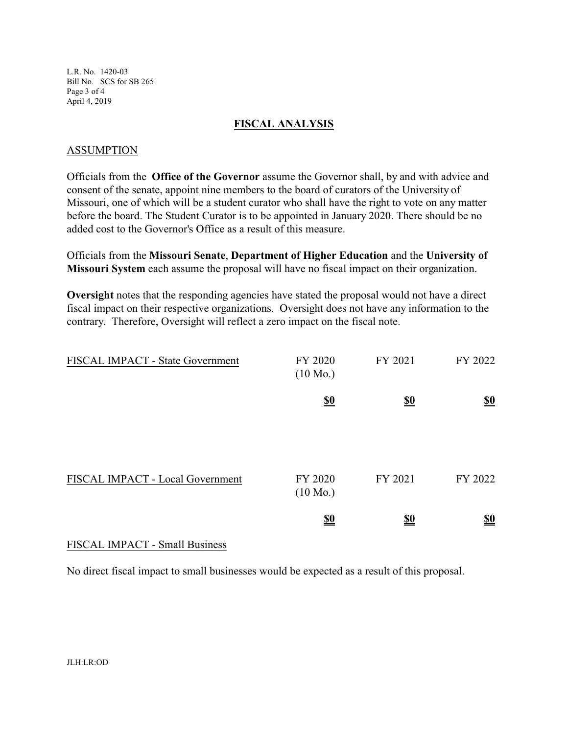L.R. No. 1420-03 Bill No. SCS for SB 265 Page 3 of 4 April 4, 2019

#### **FISCAL ANALYSIS**

#### ASSUMPTION

Officials from the **Office of the Governor** assume the Governor shall, by and with advice and consent of the senate, appoint nine members to the board of curators of the University of Missouri, one of which will be a student curator who shall have the right to vote on any matter before the board. The Student Curator is to be appointed in January 2020. There should be no added cost to the Governor's Office as a result of this measure.

Officials from the **Missouri Senate**, **Department of Higher Education** and the **University of Missouri System** each assume the proposal will have no fiscal impact on their organization.

**Oversight** notes that the responding agencies have stated the proposal would not have a direct fiscal impact on their respective organizations. Oversight does not have any information to the contrary. Therefore, Oversight will reflect a zero impact on the fiscal note.

| FISCAL IMPACT - State Government | FY 2020<br>$(10 \text{ Mo.})$ | FY 2021    | FY 2022                       |
|----------------------------------|-------------------------------|------------|-------------------------------|
|                                  | $\underline{\underline{\$0}}$ | <u>\$0</u> | $\underline{\underline{\$0}}$ |
| FISCAL IMPACT - Local Government | FY 2020<br>$(10 \text{ Mo.})$ | FY 2021    | FY 2022                       |
|                                  | $\underline{\underline{\$0}}$ | <u>\$0</u> | $\underline{\underline{\$0}}$ |

## FISCAL IMPACT - Small Business

No direct fiscal impact to small businesses would be expected as a result of this proposal.